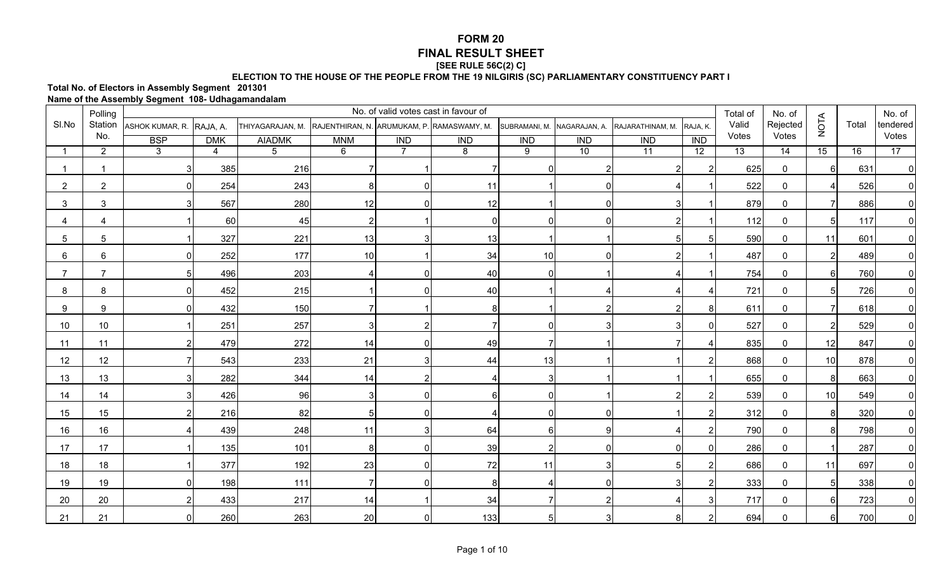## **FORM 20 FINAL RESULT SHEET[SEE RULE 56C(2) C]**

## **ELECTION TO THE HOUSE OF THE PEOPLE FROM THE 19 NILGIRIS (SC) PARLIAMENTARY CONSTITUENCY PART I**

## **Total No. of Electors in Assembly Segment 201301 Name of the Assembly Segment 108- Udhagamandalam**

|                | Polling        |                                  |                |                                                             |                |                | No. of valid votes cast in favour of |                  |                             |                  |                 | Total of        | No. of          |                          |       | No. of       |
|----------------|----------------|----------------------------------|----------------|-------------------------------------------------------------|----------------|----------------|--------------------------------------|------------------|-----------------------------|------------------|-----------------|-----------------|-----------------|--------------------------|-------|--------------|
| SI.No          |                | Station ASHOK KUMAR, R. RAJA, A. |                | THIYAGARAJAN, M. RAJENTHIRAN, N. ARUMUKAM, P. RAMASWAMY, M. |                |                |                                      |                  | SUBRAMANI, M. NAGARAJAN, A. | RAJARATHINAM, M. | RAJA, K.        | Valid           | Rejected        | <b>NOTA</b>              | Total | tendered     |
|                | No.            | <b>BSP</b>                       | <b>DMK</b>     | <b>AIADMK</b>                                               | <b>MNM</b>     | <b>IND</b>     | $\overline{IND}$                     | $\overline{IND}$ | $\overline{IND}$            | <b>IND</b>       | IND             | Votes           | Votes           |                          |       | Votes        |
|                | $\overline{2}$ | 3                                | $\overline{4}$ | 5                                                           | 6              | $\overline{7}$ | $\overline{\mathbf{8}}$              | $\overline{9}$   | 10                          | $\overline{11}$  | $\overline{12}$ | $\overline{13}$ | $\overline{14}$ | 15                       | 16    | 17           |
|                |                | 3                                | 385            | 216                                                         |                |                |                                      | $\Omega$         | $\overline{2}$              | $\overline{2}$   | 2               | 625             | $\mathbf 0$     | -6                       | 631   | $\mathbf 0$  |
| $\overline{2}$ | $\overline{2}$ | $\overline{0}$                   | 254            | 243                                                         | 8              | n              | 11                                   |                  | $\Omega$                    |                  |                 | 522             | $\mathbf 0$     | $\boldsymbol{\varDelta}$ | 526   | $\pmb{0}$    |
| 3              | 3              | 3                                | 567            | 280                                                         | 12             |                | 12                                   |                  | $\Omega$                    | 3                |                 | 879             | $\mathbf 0$     |                          | 886   | $\mathbf 0$  |
| 4              | $\overline{4}$ |                                  | 60             | 45                                                          | $\overline{2}$ |                | $\overline{0}$                       | $\Omega$         | $\Omega$                    | 2 <sub>l</sub>   |                 | 112             | $\mathbf 0$     | .5                       | 117   | $\mathbf 0$  |
| 5              | $\overline{5}$ |                                  | 327            | 221                                                         | 13             |                | 13                                   |                  |                             | 5 <sub>l</sub>   |                 | 590             | $\mathbf{0}$    | 11                       | 601   | $\mathbf 0$  |
| 6              | $6\phantom{1}$ | $\overline{0}$                   | 252            | 177                                                         | 10             |                | 34                                   | 10               | $\Omega$                    | $\overline{2}$   |                 | 487             | $\mathbf 0$     | $\overline{2}$           | 489   | $\mathbf 0$  |
|                | $\overline{7}$ | $5 \mid$                         | 496            | 203                                                         |                |                | 40                                   | 0                |                             |                  |                 | 754             | $\mathbf 0$     | -6                       | 760   | $\mathbf 0$  |
| 8              | 8              | $\overline{0}$                   | 452            | 215                                                         |                |                | 40                                   |                  | Δ                           |                  |                 | 721             | $\mathbf 0$     | 5                        | 726   | 0            |
| 9              | 9              | $\overline{0}$                   | 432            | 150                                                         |                |                |                                      |                  | 2                           | $\overline{2}$   | 8               | 611             | $\mathbf 0$     |                          | 618   | $\mathbf 0$  |
| 10             | 10             |                                  | 251            | 257                                                         | 3              |                |                                      | $\Omega$         | 3                           |                  |                 | 527             | $\mathbf{0}$    | 2                        | 529   | $\mathbf{0}$ |
| 11             | 11             | 2 <sub>l</sub>                   | 479            | 272                                                         | 14             | n              | 49                                   | 7                |                             |                  |                 | 835             | $\mathbf{0}$    | 12                       | 847   | $\mathbf{0}$ |
| 12             | 12             |                                  | 543            | 233                                                         | 21             |                | 44                                   | 13               |                             |                  |                 | 868             | $\mathbf{0}$    | 10                       | 878   | $\mathbf 0$  |
| 13             | 13             | $\overline{3}$                   | 282            | 344                                                         | 14             |                |                                      | 3 <sup>1</sup>   |                             |                  |                 | 655             | $\mathbf 0$     | 8                        | 663   | $\pmb{0}$    |
| 14             | 14             | 3 <sub>l</sub>                   | 426            | 96                                                          | 3              |                | 6                                    | $\Omega$         |                             | $\overline{2}$   |                 | 539             | $\mathbf{0}$    | 10                       | 549   | $\mathbf 0$  |
| 15             | 15             | 2 <sub>l</sub>                   | 216            | 82                                                          | 5              |                |                                      | $\Omega$         | ∩                           |                  | 2               | 312             | $\mathbf 0$     | 8                        | 320   | $\mathbf 0$  |
| 16             | 16             |                                  | 439            | 248                                                         | 11             |                | 64                                   | $6 \mid$         | 9                           |                  |                 | 790             | $\mathbf{0}$    | -8                       | 798   | $\mathbf 0$  |
| 17             | 17             |                                  | 135            | 101                                                         | 8              |                | 39                                   | $\overline{2}$   | $\Omega$                    | 0                | $\Omega$        | 286             | $\mathbf 0$     |                          | 287   | $\mathbf 0$  |
| 18             | 18             |                                  | 377            | 192                                                         | 23             |                | 72                                   | 11               | 3                           | 5 <sub>l</sub>   |                 | 686             | $\mathbf 0$     | 11                       | 697   | $\mathbf 0$  |
| 19             | 19             | $\overline{0}$                   | 198            | 111                                                         | $\overline{7}$ |                | 8                                    |                  | $\Omega$                    | 3                |                 | 333             | $\mathbf 0$     |                          | 338   | $\pmb{0}$    |
| 20             | 20             | 2                                | 433            | 217                                                         | 14             |                | 34                                   | 7                | $\overline{2}$              |                  |                 | 717             | $\mathbf 0$     | 6                        | 723   | $\mathbf 0$  |
| 21             | 21             | $\Omega$                         | 260            | 263                                                         | 20             |                | 133                                  | 5 <sub>l</sub>   | 3                           | 8                | 2               | 694             | 0               |                          | 700   | $\Omega$     |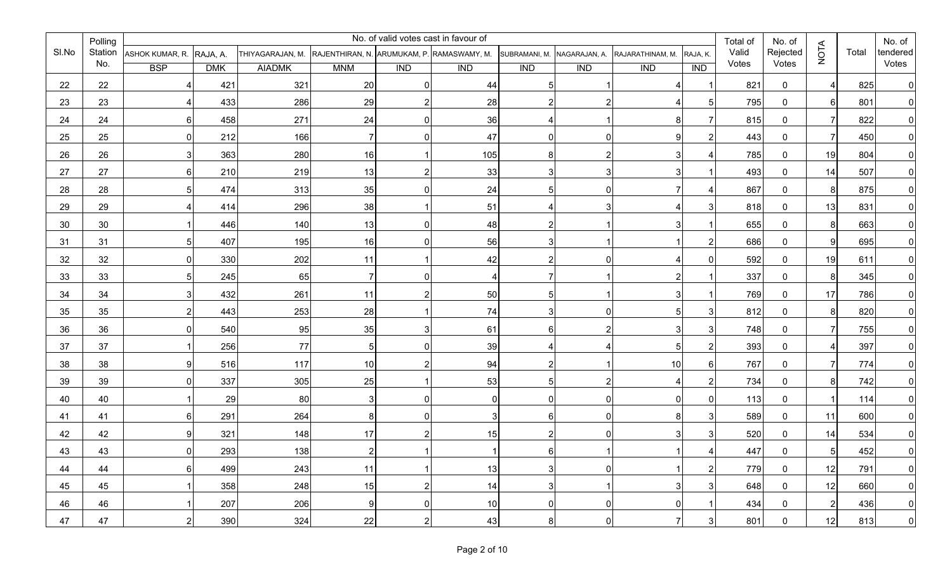|       | Polling |                          |            |                                                             |                |            | No. of valid votes cast in favour of |                             |            |                  |                          | Total of | No. of       |                |       | No. of         |
|-------|---------|--------------------------|------------|-------------------------------------------------------------|----------------|------------|--------------------------------------|-----------------------------|------------|------------------|--------------------------|----------|--------------|----------------|-------|----------------|
| SI.No | Station | ASHOK KUMAR, R. RAJA, A. |            | THIYAGARAJAN, M. RAJENTHIRAN, N. ARUMUKAM, P. RAMASWAMY, M. |                |            |                                      | SUBRAMANI, M. NAGARAJAN, A. |            | RAJARATHINAM, M. | RAJA, K.                 | Valid    | Rejected     | <b>NOTA</b>    | Total | tendered       |
|       | No.     | <b>BSP</b>               | <b>DMK</b> | <b>AIADMK</b>                                               | <b>MNM</b>     | <b>IND</b> | <b>IND</b>                           | <b>IND</b>                  | <b>IND</b> | <b>IND</b>       | IND                      | Votes    | Votes        |                |       | Votes          |
| 22    | 22      | $\overline{4}$           | 421        | 321                                                         | 20             |            | 44                                   | 5                           |            |                  |                          | 821      | $\mathbf 0$  | Δ              | 825   | $\overline{0}$ |
| 23    | 23      | $\overline{a}$           | 433        | 286                                                         | 29             |            | 28                                   | 2                           |            |                  | 5                        | 795      | $\mathbf 0$  | 6              | 801   | $\overline{0}$ |
| 24    | 24      | $6 \mid$                 | 458        | 271                                                         | 24             |            | 36                                   | 4                           |            | 8 <sup>1</sup>   |                          | 815      | $\mathbf 0$  | 7              | 822   | $\overline{0}$ |
| 25    | 25      | $\overline{0}$           | 212        | 166                                                         | 7              |            | 47                                   | 0                           |            | 9                |                          | 443      | $\mathbf 0$  | $\overline{7}$ | 450   | $\overline{0}$ |
| 26    | 26      | 3                        | 363        | 280                                                         | 16             |            | 105                                  | 8                           |            | 3                |                          | 785      | $\mathbf 0$  | 19             | 804   | $\overline{0}$ |
| 27    | 27      | $6 \overline{6}$         | 210        | 219                                                         | 13             |            | 33                                   | 3                           |            | 3 <sup>1</sup>   |                          | 493      | $\mathbf 0$  | 14             | 507   | $\overline{0}$ |
| 28    | 28      | 5                        | 474        | 313                                                         | 35             |            | 24                                   | 5                           |            |                  |                          | 867      | $\mathbf 0$  | 8              | 875   | $\overline{0}$ |
| 29    | 29      | $\overline{4}$           | 414        | 296                                                         | 38             |            | 51                                   | 4                           |            |                  | 3                        | 818      | $\mathbf 0$  | 13             | 831   | $\mathbf 0$    |
| 30    | 30      |                          | 446        | 140                                                         | 13             |            | 48                                   | $\mathsf{2}$                |            | 3                |                          | 655      | $\mathbf 0$  | 8              | 663   | $\overline{0}$ |
| 31    | 31      | 5 <sub>l</sub>           | 407        | 195                                                         | 16             |            | 56                                   | 3                           |            |                  | 2                        | 686      | $\mathbf 0$  | 9              | 695   | $\overline{0}$ |
| 32    | 32      | $\mathbf 0$              | 330        | 202                                                         | 11             |            | 42                                   | $\overline{2}$              |            | $\overline{4}$   | $\Omega$                 | 592      | $\mathbf 0$  | 19             | 611   | $\overline{0}$ |
| 33    | 33      | $\overline{5}$           | 245        | 65                                                          | $\overline{7}$ |            | 4                                    |                             |            | $\overline{2}$   |                          | 337      | $\mathbf 0$  | 8              | 345   | $\overline{0}$ |
| 34    | 34      | 3                        | 432        | 261                                                         | 11             |            | 50                                   | 5                           |            | 3                |                          | 769      | $\mathbf 0$  | 17             | 786   | $\overline{0}$ |
| 35    | 35      | $\overline{2}$           | 443        | 253                                                         | 28             |            | 74                                   | 3                           |            | 51               | 3                        | 812      | $\mathbf 0$  | 8              | 820   | $\overline{0}$ |
| 36    | 36      | $\overline{0}$           | 540        | 95                                                          | 35             |            | 61                                   | 61                          |            | 3 <sub>l</sub>   | 3                        | 748      | $\mathbf 0$  | 7              | 755   | $\Omega$       |
| 37    | 37      | 1                        | 256        | 77                                                          | 5              |            | 39                                   | 4                           |            | 5 <sub>l</sub>   |                          | 393      | $\mathbf 0$  |                | 397   | $\overline{0}$ |
| 38    | 38      | $\boldsymbol{9}$         | 516        | 117                                                         | 10             |            | 94                                   | $\overline{2}$              |            | 10               | 6                        | 767      | $\mathbf 0$  | $\overline{7}$ | 774   | $\overline{0}$ |
| 39    | 39      | $\mathbf 0$              | 337        | 305                                                         | 25             |            | 53                                   | 5                           |            | $\overline{4}$   | 2                        | 734      | $\mathbf 0$  | 8              | 742   | $\overline{0}$ |
| 40    | 40      |                          | 29         | 80                                                          | 3              |            | 0                                    | 0                           |            | $\overline{0}$   |                          | 113      | $\mathbf 0$  |                | 114   | $\overline{0}$ |
| 41    | 41      | $6 \mid$                 | 291        | 264                                                         | 8              |            | 3                                    | 6                           |            | 8 <sup>1</sup>   | 3                        | 589      | $\mathbf 0$  | 11             | 600   | $\overline{0}$ |
| 42    | 42      | 9                        | 321        | 148                                                         | 17             |            | 15                                   | 2                           |            | 3                | 3                        | 520      | $\mathbf 0$  | 14             | 534   | 0              |
| 43    | 43      | $\Omega$                 | 293        | 138                                                         | $\mathcal{D}$  |            |                                      | 61                          |            |                  | $\boldsymbol{\varDelta}$ | 447      | $\mathbf{0}$ | 5 <sub>l</sub> | 452   | $\Omega$       |
| 44    | 44      | 6                        | 499        | 243                                                         | 11             |            | 13                                   | 3                           | 0          |                  | $\overline{2}$           | 779      | $\mathbf 0$  | 12             | 791   | $\overline{0}$ |
| 45    | 45      | $\mathbf{1}$             | 358        | 248                                                         | 15             | 2          | 14                                   | $\overline{3}$              |            | 3                | 3                        | 648      | $\mathbf 0$  | 12             | 660   | $\overline{0}$ |
| 46    | 46      | $\vert$ 1                | 207        | 206                                                         | 9              | O          | 10                                   | $\overline{0}$              | $\Omega$   | $\overline{0}$   | $\mathbf 1$              | 434      | $\mathbf 0$  | $\mathbf{2}$   | 436   | 0              |
| 47    | 47      | $\overline{2}$           | 390        | 324                                                         | 22             | 2          | 43                                   | 8 <sup>1</sup>              | 0          | $\overline{7}$   | $\mathbf{3}$             | 801      | $\mathbf 0$  | 12             | 813   | $\overline{0}$ |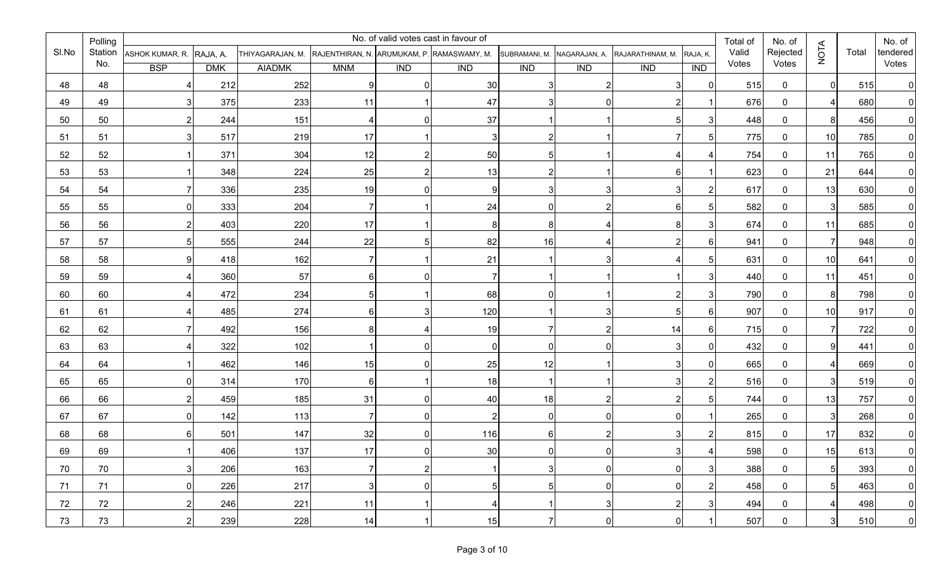|       | Polling |                          |            |                                                             |                 |            | No. of valid votes cast in favour of |                             |                |                  |                | Total of | No. of       |                 |       | No. of         |
|-------|---------|--------------------------|------------|-------------------------------------------------------------|-----------------|------------|--------------------------------------|-----------------------------|----------------|------------------|----------------|----------|--------------|-----------------|-------|----------------|
| SI.No | Station | ASHOK KUMAR, R. RAJA, A. |            | THIYAGARAJAN, M. RAJENTHIRAN, N. ARUMUKAM, P. RAMASWAMY, M. |                 |            |                                      | SUBRAMANI, M. NAGARAJAN, A. |                | RAJARATHINAM, M. | RAJA, K.       | Valid    | Rejected     | <b>NOTA</b>     | Total | tendered       |
|       | No.     | <b>BSP</b>               | <b>DMK</b> | <b>AIADMK</b>                                               | <b>MNM</b>      | <b>IND</b> | <b>IND</b>                           | <b>IND</b>                  | <b>IND</b>     | $\overline{IND}$ | IND            | Votes    | Votes        |                 |       | Votes          |
| 48    | 48      | $\overline{4}$           | 212        | 252                                                         | 9               |            | 30                                   | 3 <sup>l</sup>              |                |                  | $\mathbf{0}$   | 515      | $\mathbf 0$  | $\Omega$        | 515   | $\Omega$       |
| 49    | 49      | 3 <sup>l</sup>           | 375        | 233                                                         | 11              |            | 47                                   | 3                           |                |                  |                | 676      | $\mathbf 0$  | 4               | 680   | $\Omega$       |
| 50    | 50      | 2                        | 244        | 151                                                         |                 |            | 37                                   |                             |                |                  | 3              | 448      | $\mathbf 0$  | 8 <sup>1</sup>  | 456   | $\mathbf{0}$   |
| 51    | 51      | 3 <sup>1</sup>           | 517        | 219                                                         | 17              |            | 3                                    | 2                           |                |                  | 5              | 775      | $\mathbf 0$  | 10              | 785   | $\Omega$       |
| 52    | 52      | $\vert$ 1                | 371        | 304                                                         | 12              |            | 50                                   | 5                           |                |                  |                | 754      | $\mathbf 0$  | 11              | 765   | $\Omega$       |
| 53    | 53      |                          | 348        | 224                                                         | 25              |            | 13                                   | 2                           |                |                  |                | 623      | $\mathbf 0$  | 21              | 644   | 0              |
| 54    | 54      | 71                       | 336        | 235                                                         | 19              |            | 9                                    | 3                           |                |                  | 2              | 617      | $\mathbf 0$  | 13              | 630   | 0              |
| 55    | 55      | 0                        | 333        | 204                                                         | $\overline{7}$  |            | 24                                   | 0                           | $\mathcal{P}$  |                  | 5              | 582      | $\mathbf 0$  | $\overline{3}$  | 585   | 0              |
| 56    | 56      | 2                        | 403        | 220                                                         | 17              |            | 8                                    | 8                           |                |                  | 3              | 674      | $\mathbf 0$  | 11              | 685   | 0              |
| 57    | 57      | 5                        | 555        | 244                                                         | 22              |            | 82                                   | 16                          |                |                  | 6              | 941      | $\mathbf 0$  | 7               | 948   | 0              |
| 58    | 58      | 9                        | 418        | 162                                                         | $\overline{7}$  |            | 21                                   |                             |                |                  | 5              | 631      | $\mathbf 0$  | 10              | 641   | $\overline{0}$ |
| 59    | 59      | $\overline{4}$           | 360        | 57                                                          | $6\phantom{.}6$ |            | 7                                    |                             |                |                  | 3              | 440      | $\mathbf 0$  | 11              | 451   | $\overline{0}$ |
| 60    | 60      | $\overline{4}$           | 472        | 234                                                         | 5               |            | 68                                   |                             |                |                  | 3              | 790      | $\mathbf 0$  | 8               | 798   | $\overline{0}$ |
| 61    | 61      | $\overline{4}$           | 485        | 274                                                         | 6               |            | 120                                  |                             |                |                  | 6              | 907      | $\mathbf 0$  | 10              | 917   | $\Omega$       |
| 62    | 62      | $\overline{7}$           | 492        | 156                                                         | 8               |            | 19                                   |                             |                | 14               | 6              | 715      | $\mathbf 0$  | 7               | 722   | $\Omega$       |
| 63    | 63      | $\vert$                  | 322        | 102                                                         |                 |            | 0                                    | 01                          | O              |                  | ∩              | 432      | $\mathbf 0$  | 9               | 441   | 0              |
| 64    | 64      | 1                        | 462        | 146                                                         | 15              |            | 25                                   | 12                          |                |                  | $\Omega$       | 665      | $\mathbf 0$  |                 | 669   |                |
| 65    | 65      | 0                        | 314        | 170                                                         | $6\phantom{.}6$ |            | 18                                   |                             |                |                  | 2              | 516      | $\mathbf 0$  | $\mathbf{3}$    | 519   | <sup>0</sup>   |
| 66    | 66      | 2                        | 459        | 185                                                         | 31              |            | 40                                   | 18                          |                |                  | 5              | 744      | $\mathbf 0$  | 13              | 757   | 0              |
| 67    | 67      | 0                        | 142        | 113                                                         | $\overline{7}$  |            | $\overline{2}$                       | 0                           | <sup>0</sup>   |                  |                | 265      | $\mathbf 0$  | 3               | 268   | $\Omega$       |
| 68    | 68      | $6 \mid$                 | 501        | 147                                                         | 32              |            | 116                                  | 61                          |                |                  |                | 815      | $\mathbf 0$  | 17              | 832   |                |
| 69    | 69      | $\overline{1}$           | 406        | 137                                                         | 17              |            | 30                                   |                             |                |                  | Δ              | 598      | $\mathbf{0}$ | 15 <sup>1</sup> | 613   |                |
| 70    | 70      | $3\vert$                 | 206        | 163                                                         | $\overline{7}$  | 2          | $\overline{1}$                       | 3 <sup>1</sup>              | $\overline{0}$ | 0                | $\mathbf{3}$   | 388      | 0            | 5 <sub>l</sub>  | 393   | $\overline{0}$ |
| 71    | 71      | 0                        | 226        | 217                                                         | $\mathbf{3}$    | 0          | 5                                    | 5 <sub>l</sub>              | $\overline{0}$ | 0                | $\overline{2}$ | 458      | 0            | 5 <sub>l</sub>  | 463   | $\overline{0}$ |
| 72    | 72      | $2\vert$                 | 246        | 221                                                         | 11              |            | $\overline{4}$                       | $\overline{1}$              | 3              | 2                | 3              | 494      | 0            | $\vert$         | 498   | $\overline{0}$ |
| 73    | 73      | 2                        | 239        | 228                                                         | 14              |            | 15                                   | $\overline{7}$              | $\overline{0}$ |                  |                | 507      | 0            | 3               | 510   | $\overline{0}$ |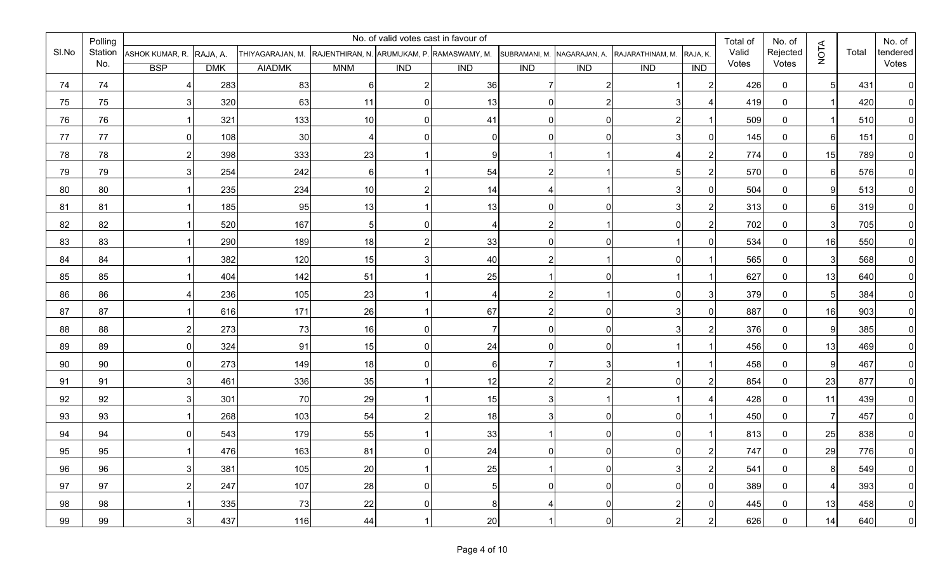|       | Polling |                          |            |                                                             |                 |             | No. of valid votes cast in favour of |                             |                |                  |                | Total of | No. of       |                |       | No. of         |
|-------|---------|--------------------------|------------|-------------------------------------------------------------|-----------------|-------------|--------------------------------------|-----------------------------|----------------|------------------|----------------|----------|--------------|----------------|-------|----------------|
| SI.No | Station | ASHOK KUMAR, R. RAJA, A. |            | THIYAGARAJAN, M. RAJENTHIRAN, N. ARUMUKAM, P. RAMASWAMY, M. |                 |             |                                      | SUBRAMANI, M. NAGARAJAN, A. |                | RAJARATHINAM, M. | RAJA, K.       | Valid    | Rejected     | <b>NOTA</b>    | Total | tendered       |
|       | No.     | <b>BSP</b>               | <b>DMK</b> | <b>AIADMK</b>                                               | <b>MNM</b>      | <b>IND</b>  | <b>IND</b>                           | <b>IND</b>                  | <b>IND</b>     | $\overline{IND}$ | IND            | Votes    | Votes        |                |       | Votes          |
| 74    | 74      | $\overline{4}$           | 283        | 83                                                          | 6               |             | 36                                   |                             |                |                  | $\overline{2}$ | 426      | $\mathbf 0$  | 5              | 431   | $\Omega$       |
| 75    | 75      | 3 <sup>l</sup>           | 320        | 63                                                          | 11              | U           | 13                                   | 0                           | 2              |                  |                | 419      | $\mathbf 0$  |                | 420   | $\Omega$       |
| 76    | 76      |                          | 321        | 133                                                         | 10              |             | 41                                   | 0                           | O              |                  |                | 509      | $\mathbf 0$  | -1             | 510   | $\mathbf{0}$   |
| 77    | 77      | 0                        | 108        | 30                                                          | 4               |             | 0                                    | n                           | U              |                  | $\Omega$       | 145      | $\mathbf 0$  | $6 \mid$       | 151   | $\Omega$       |
| 78    | 78      | $\overline{2}$           | 398        | 333                                                         | 23              |             | 9                                    |                             |                |                  | 2              | 774      | $\mathbf 0$  | 15             | 789   | $\Omega$       |
| 79    | 79      | 3                        | 254        | 242                                                         | $6\phantom{.}6$ |             | 54                                   | 2                           |                |                  | 2              | 570      | $\mathbf 0$  | 61             | 576   | 0              |
| 80    | 80      |                          | 235        | 234                                                         | 10              |             | 14                                   |                             |                |                  | $\mathbf{0}$   | 504      | $\mathbf 0$  | 9              | 513   |                |
| 81    | 81      |                          | 185        | 95                                                          | 13              |             | 13                                   | 0                           | $\Omega$       |                  | 2              | 313      | $\mathbf 0$  | 61             | 319   | 0              |
| 82    | 82      |                          | 520        | 167                                                         | $\sqrt{5}$      |             | 4                                    | 2                           |                |                  | 2              | 702      | $\mathbf 0$  | $\mathbf{3}$   | 705   | 0              |
| 83    | 83      |                          | 290        | 189                                                         | 18              |             | 33                                   | 01                          | U              |                  | $\Omega$       | 534      | $\mathbf 0$  | 16             | 550   | $\Omega$       |
| 84    | 84      | $\vert$ 1                | 382        | 120                                                         | 15              |             | 40                                   | 2                           |                |                  |                | 565      | $\mathbf 0$  | $\mathbf{3}$   | 568   | $\overline{0}$ |
| 85    | 85      | $\overline{1}$           | 404        | 142                                                         | 51              |             | 25                                   |                             | $\Omega$       |                  |                | 627      | $\mathbf 0$  | 13             | 640   | $\overline{0}$ |
| 86    | 86      | $\overline{4}$           | 236        | 105                                                         | 23              |             | $\boldsymbol{\Delta}$                | $\overline{2}$              |                |                  | 3              | 379      | $\mathbf 0$  | 5              | 384   | $\overline{0}$ |
| 87    | 87      |                          | 616        | 171                                                         | 26              |             | 67                                   | $\overline{2}$              |                |                  | $\Omega$       | 887      | $\mathbf 0$  | 16             | 903   | $\Omega$       |
| 88    | 88      | 2                        | 273        | 73                                                          | 16              |             | -7                                   | 0                           | $\Omega$       |                  | 2              | 376      | $\mathbf 0$  | 9              | 385   | $\Omega$       |
| 89    | 89      | 0                        | 324        | 91                                                          | 15              |             | 24                                   | 01                          | $\Omega$       |                  |                | 456      | $\mathbf 0$  | 13             | 469   | 0              |
| 90    | 90      | 0                        | 273        | 149                                                         | 18              |             | 6                                    | 7                           |                |                  |                | 458      | $\mathbf 0$  | 9              | 467   |                |
| 91    | 91      | 3                        | 461        | 336                                                         | 35              |             | 12                                   | 2                           |                |                  | 2              | 854      | $\mathbf 0$  | 23             | 877   | O              |
| 92    | 92      | 3 <sup>l</sup>           | 301        | 70                                                          | 29              |             | 15                                   | 3                           |                |                  |                | 428      | $\mathbf 0$  | 11             | 439   |                |
| 93    | 93      | $\overline{1}$           | 268        | 103                                                         | 54              |             | 18                                   | 3                           | ∩              |                  |                | 450      | $\mathbf 0$  | 7              | 457   |                |
| 94    | 94      | $\overline{0}$           | 543        | 179                                                         | 55              |             | 33                                   |                             | $\Omega$       |                  |                | 813      | $\mathbf 0$  | 25             | 838   |                |
| 95    | 95      | $\vert$ 1                | 476        | 163                                                         | 81              |             | 24                                   |                             |                |                  | $\mathcal{P}$  | 747      | $\mathbf{0}$ | 29             | 776   |                |
| 96    | 96      | 3 <sup>1</sup>           | 381        | 105                                                         | 20              |             | 25                                   |                             | $\overline{0}$ | $\mathbf{3}$     | $\overline{2}$ | 541      | 0            | 8 <sup>1</sup> | 549   | $\overline{0}$ |
| 97    | 97      | 2                        | 247        | 107                                                         | 28              | $\mathbf 0$ | 5                                    | 0                           | $\overline{0}$ | 0                | 0              | 389      | 0            | 4              | 393   | 0              |
| 98    | 98      | $\vert$ 1                | 335        | 73                                                          | 22              | $\Omega$    | 8                                    | 41                          | $\overline{0}$ | 2                | 0              | 445      | $\mathbf 0$  | 13             | 458   | 0              |
| 99    | 99      | 3                        | 437        | 116                                                         | 44              |             | 20                                   | 1                           | $\overline{0}$ | 2                | $\overline{2}$ | 626      | $\mathbf 0$  | 14             | 640   | $\overline{0}$ |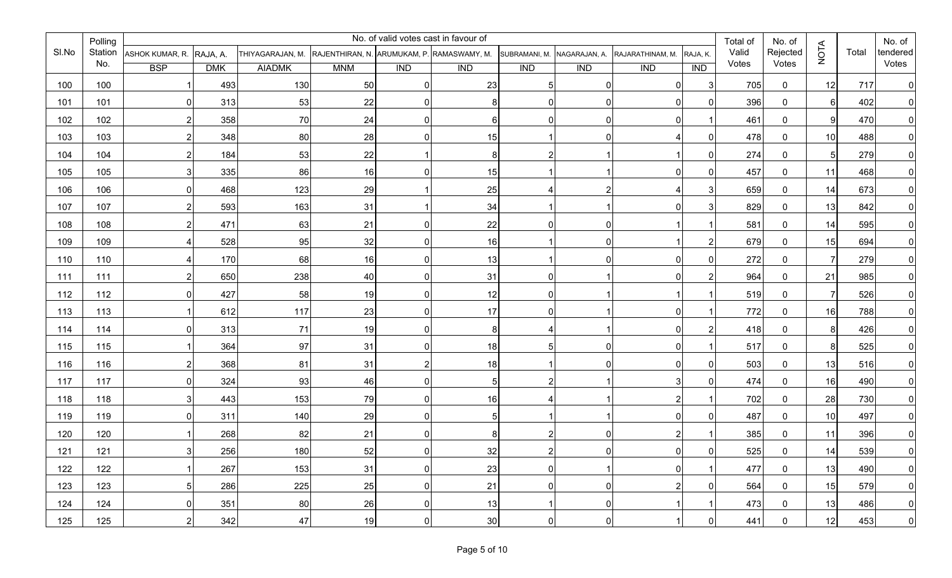|       | Polling |                 |            |                  |            |                | No. of valid votes cast in favour of       |                  |                |                  |              | Total of | No. of      |                |       | No. of         |
|-------|---------|-----------------|------------|------------------|------------|----------------|--------------------------------------------|------------------|----------------|------------------|--------------|----------|-------------|----------------|-------|----------------|
| SI.No | Station | ASHOK KUMAR, R. | RAJA, A.   | THIYAGARAJAN, M. |            |                | RAJENTHIRAN, N. ARUMUKAM, P. RAMASWAMY, M. | SUBRAMANI, M.    | NAGARAJAN, A.  | RAJARATHINAM, M. | RAJA, K.     | Valid    | Rejected    | <b>NOTA</b>    | Total | tendered       |
|       | No.     | <b>BSP</b>      | <b>DMK</b> | <b>AIADMK</b>    | <b>MNM</b> | <b>IND</b>     | $\overline{IND}$                           | $\overline{IND}$ | <b>IND</b>     | <b>IND</b>       | <b>IND</b>   | Votes    | Votes       |                |       | Votes          |
| 100   | 100     |                 | 493        | 130              | 50         | $\Omega$       | 23                                         |                  |                | $\overline{0}$   | 3            | 705      | $\mathbf 0$ | 12             | 717   | $\overline{0}$ |
| 101   | 101     | 01              | 313        | 53               | 22         | $\Omega$       | 8                                          | U                |                | $\Omega$         | $\mathbf{0}$ | 396      | $\mathbf 0$ | $6 \mid$       | 402   | $\overline{0}$ |
| 102   | 102     | 2               | 358        | 70               | 24         | $\Omega$       | 6                                          |                  |                | 01               |              | 461      | $\mathbf 0$ | 9              | 470   | $\overline{0}$ |
| 103   | 103     | 2               | 348        | 80               | 28         | $\Omega$       | 15                                         |                  |                |                  | $\Omega$     | 478      | $\mathbf 0$ | 10             | 488   | $\overline{0}$ |
| 104   | 104     | 2               | 184        | 53               | 22         |                | 8                                          |                  |                |                  | $\Omega$     | 274      | $\mathbf 0$ | 5 <sub>l</sub> | 279   | $\overline{0}$ |
| 105   | 105     | 3               | 335        | 86               | 16         |                | 15                                         |                  |                | 0                | $\bf{0}$     | 457      | $\mathbf 0$ | 11             | 468   | $\mathbf{0}$   |
| 106   | 106     | 0I              | 468        | 123              | 29         |                | 25                                         |                  |                |                  | 3            | 659      | $\mathbf 0$ | 14             | 673   | $\overline{0}$ |
| 107   | 107     | $\overline{2}$  | 593        | 163              | 31         |                | 34                                         |                  |                | $\overline{0}$   | 3            | 829      | $\mathbf 0$ | 13             | 842   | $\mathbf{0}$   |
| 108   | 108     | 2               | 471        | 63               | 21         | $\Omega$       | 22                                         | U                | $\overline{0}$ |                  |              | 581      | $\mathbf 0$ | 14             | 595   | $\overline{0}$ |
| 109   | 109     |                 | 528        | 95               | 32         | $\Omega$       | 16                                         |                  | $\Omega$       |                  | 2            | 679      | 0           | 15             | 694   | $\Omega$       |
| 110   | 110     | 4               | 170        | 68               | 16         | $\Omega$       | 13                                         |                  | $\Omega$       | $\overline{0}$   | 0            | 272      | $\mathbf 0$ | $\overline{7}$ | 279   | $\overline{0}$ |
| 111   | 111     | 2               | 650        | 238              | 40         | $\overline{0}$ | 31                                         | ŋ                |                | $\Omega$         | 2            | 964      | $\mathbf 0$ | 21             | 985   | $\overline{0}$ |
| 112   | 112     | 0I              | 427        | 58               | 19         | $\Omega$       | 12                                         | ∩                |                |                  |              | 519      | $\mathbf 0$ | 7              | 526   | $\overline{0}$ |
| 113   | 113     |                 | 612        | 117              | 23         | $\overline{0}$ | 17                                         |                  |                | 0                |              | 772      | $\mathbf 0$ | 16             | 788   | $\Omega$       |
| 114   | 114     | 0I              | 313        | 71               | 19         | $\Omega$       | 8                                          |                  |                | 01               | 2            | 418      | $\mathbf 0$ | 8              | 426   | $\Omega$       |
| 115   | 115     |                 | 364        | 97               | 31         | $\Omega$       | 18                                         |                  | $\overline{0}$ | $\overline{0}$   |              | 517      | $\mathbf 0$ | 8              | 525   | $\overline{0}$ |
| 116   | 116     | 2               | 368        | 81               | 31         | 2              | 18                                         |                  |                | $\Omega$         | $\Omega$     | 503      | $\mathbf 0$ | 13             | 516   | $\mathbf{0}$   |
| 117   | 117     | 01              | 324        | 93               | 46         | $\Omega$       | 5                                          |                  |                | 3                | $\Omega$     | 474      | $\mathbf 0$ | 16             | 490   | $\overline{0}$ |
| 118   | 118     | 3               | 443        | 153              | 79         | $\Omega$       | 16                                         |                  |                |                  |              | 702      | $\mathbf 0$ | 28             | 730   | $\mathbf{0}$   |
| 119   | 119     | 0I              | 311        | 140              | 29         | <sup>0</sup>   | 5                                          |                  |                | $\Omega$         | $\Omega$     | 487      | $\mathbf 0$ | 10             | 497   | $\overline{0}$ |
| 120   | 120     |                 | 268        | 82               | 21         | ∩              | 8                                          |                  |                |                  |              | 385      | $\mathbf 0$ | 11             | 396   | 0              |
| 121   | 121     |                 | 256        | 180              | 52         |                | 32                                         |                  |                | ΩI               | $\Omega$     | 525      | $\Omega$    | 14             | 539   | $\Omega$       |
| 122   | 122     |                 | 267        | 153              | 31         | $\overline{0}$ | 23                                         | $\overline{0}$   |                | $\overline{0}$   | $\mathbf{1}$ | 477      | 0           | 13             | 490   | 0              |
| 123   | 123     | 5 <sub>l</sub>  | 286        | 225              | 25         | $\overline{0}$ | 21                                         | $\overline{0}$   | $\overline{0}$ | $\mathbf{2}$     | 0            | 564      | 0           | 15             | 579   | 0              |
| 124   | 124     | $\overline{0}$  | 351        | 80               | 26         | $\overline{0}$ | 13                                         |                  | $\overline{0}$ | -1               | $\mathbf{1}$ | 473      | $\mathbf 0$ | 13             | 486   | 0              |
| 125   | 125     | $\overline{2}$  | 342        | 47               | 19         | $\overline{0}$ | 30                                         | $\overline{0}$   | $\overline{0}$ |                  | 0            | 441      | $\mathbf 0$ | 12             | 453   | $\overline{0}$ |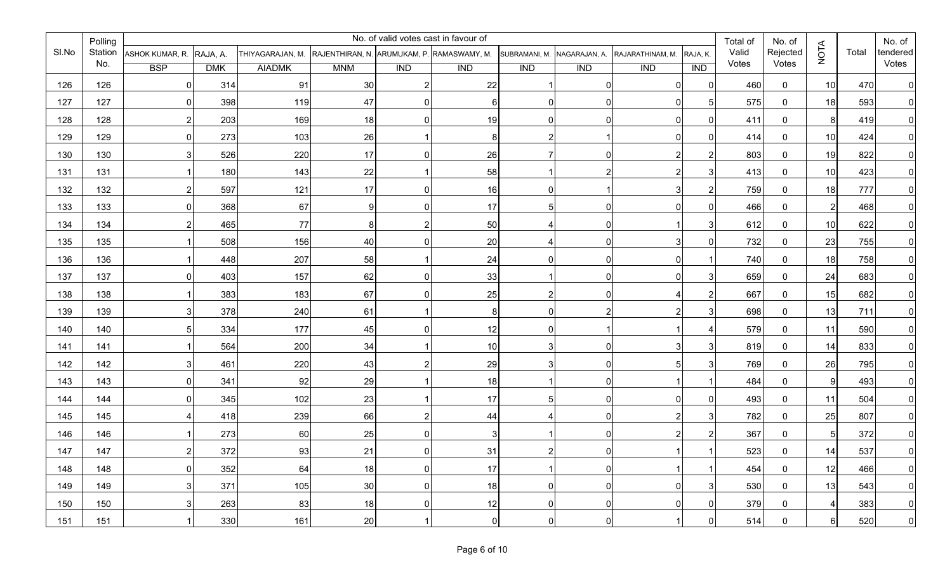|       | Polling |                 |            |                  |                                            |                | No. of valid votes cast in favour of |                  |                |                  |                | Total of | No. of      |                |       | No. of         |
|-------|---------|-----------------|------------|------------------|--------------------------------------------|----------------|--------------------------------------|------------------|----------------|------------------|----------------|----------|-------------|----------------|-------|----------------|
| SI.No | Station | ASHOK KUMAR, R. | RAJA, A.   | THIYAGARAJAN, M. | RAJENTHIRAN, N. ARUMUKAM, P. RAMASWAMY, M. |                |                                      | SUBRAMANI, M.    | NAGARAJAN, A.  | RAJARATHINAM, M. | RAJA, K.       | Valid    | Rejected    | <b>NOTA</b>    | Total | tendered       |
|       | No.     | <b>BSP</b>      | <b>DMK</b> | <b>AIADMK</b>    | <b>MNM</b>                                 | <b>IND</b>     | $\overline{IND}$                     | $\overline{IND}$ | <b>IND</b>     | <b>IND</b>       | ID             | Votes    | Votes       |                |       | Votes          |
| 126   | 126     | 01              | 314        | 91               | 30                                         | $\mathcal{P}$  | 22                                   |                  |                | $\overline{0}$   | $\mathbf{0}$   | 460      | $\mathbf 0$ | 10             | 470   | $\overline{0}$ |
| 127   | 127     | 0I              | 398        | 119              | 47                                         | $\overline{0}$ | 6                                    | U                |                | $\overline{0}$   | 5              | 575      | $\mathbf 0$ | 18             | 593   | $\overline{0}$ |
| 128   | 128     | 2               | 203        | 169              | 18                                         | $\Omega$       | 19                                   |                  |                | $\overline{0}$   | $\Omega$       | 411      | $\mathbf 0$ | 8              | 419   | $\overline{0}$ |
| 129   | 129     | 0               | 273        | 103              | 26                                         |                | 8                                    |                  |                | 01               | $\Omega$       | 414      | $\mathbf 0$ | 10             | 424   | $\overline{0}$ |
| 130   | 130     | 31              | 526        | 220              | 17                                         | $\Omega$       | 26                                   |                  | 0              |                  | 2              | 803      | $\mathbf 0$ | 19             | 822   | $\overline{0}$ |
| 131   | 131     |                 | 180        | 143              | 22                                         |                | 58                                   |                  |                |                  | 3              | 413      | $\mathbf 0$ | 10             | 423   | $\mathbf 0$    |
| 132   | 132     | 2               | 597        | 121              | 17                                         | $\Omega$       | 16                                   | O                |                |                  | 2              | 759      | $\mathbf 0$ | 18             | 777   | $\overline{0}$ |
| 133   | 133     | 0I              | 368        | 67               | 9                                          | $\Omega$       | 17                                   |                  | $\Omega$       | $\overline{0}$   | 0              | 466      | $\mathbf 0$ | $\overline{2}$ | 468   | $\overline{0}$ |
| 134   | 134     | 2               | 465        | 77               | 8 <sup>1</sup>                             |                | 50                                   |                  | $\overline{0}$ |                  | 3              | 612      | $\mathbf 0$ | 10             | 622   | $\overline{0}$ |
| 135   | 135     |                 | 508        | 156              | 40                                         | $\Omega$       | 20                                   |                  | $\overline{0}$ |                  | $\Omega$       | 732      | $\mathbf 0$ | 23             | 755   | $\overline{0}$ |
| 136   | 136     |                 | 448        | 207              | 58                                         |                | 24                                   | 0                | $\overline{0}$ | $\overline{0}$   |                | 740      | $\mathbf 0$ | 18             | 758   | $\overline{0}$ |
| 137   | 137     | $\Omega$        | 403        | 157              | 62                                         | $\Omega$       | 33                                   |                  | $\Omega$       | $\Omega$         | 3              | 659      | $\mathbf 0$ | 24             | 683   | 0              |
| 138   | 138     |                 | 383        | 183              | 67                                         | $\Omega$       | 25                                   |                  |                |                  | 2              | 667      | $\mathbf 0$ | 15             | 682   | $\overline{0}$ |
| 139   | 139     | 3               | 378        | 240              | 61                                         |                | 8                                    |                  |                |                  | 3              | 698      | $\mathbf 0$ | 13             | 711   | $\Omega$       |
| 140   | 140     | 5               | 334        | 177              | 45                                         | $\Omega$       | 12                                   | N                |                |                  |                | 579      | $\mathbf 0$ | 11             | 590   | $\Omega$       |
| 141   | 141     |                 | 564        | 200              | 34                                         |                | 10                                   |                  | $\overline{0}$ |                  | 3              | 819      | $\mathbf 0$ | 14             | 833   | $\overline{0}$ |
| 142   | 142     | 3               | 461        | 220              | 43                                         |                | 29                                   |                  | $\overline{0}$ |                  | 3              | 769      | $\mathbf 0$ | 26             | 795   | $\Omega$       |
| 143   | 143     | 01              | 341        | 92               | 29                                         |                | 18                                   |                  | $\Omega$       |                  |                | 484      | $\mathbf 0$ | 9              | 493   | $\overline{0}$ |
| 144   | 144     | 01              | 345        | 102              | 23                                         |                | 17                                   |                  | $\Omega$       | 0 I              | $\Omega$       | 493      | $\mathbf 0$ | 11             | 504   | $\mathbf{0}$   |
| 145   | 145     |                 | 418        | 239              | 66                                         |                | 44                                   |                  |                |                  | 3              | 782      | $\mathbf 0$ | 25             | 807   | $\overline{0}$ |
| 146   | 146     |                 | 273        | 60               | 25                                         | ∩              | 3                                    |                  | 0              |                  | 2              | 367      | $\mathbf 0$ | 5              | 372   | 0              |
| 147   | 147     |                 | 372        | 93               | 21                                         |                | 31                                   |                  |                |                  | 1              | 523      | $\Omega$    | 14             | 537   | $\Omega$       |
| 148   | 148     | $\overline{0}$  | 352        | 64               | 18                                         | $\overline{0}$ | 17                                   |                  | $\overline{0}$ | -1               | $\mathbf{1}$   | 454      | 0           | 12             | 466   | $\overline{0}$ |
| 149   | 149     | 3               | 371        | 105              | 30                                         | $\overline{0}$ | 18                                   | $\overline{0}$   | $\overline{0}$ | $\overline{0}$   | 3              | 530      | 0           | 13             | 543   | 0              |
| 150   | 150     | 3               | 263        | 83               | 18                                         | $\overline{0}$ | 12                                   | $\overline{0}$   | $\overline{0}$ | $\overline{0}$   | $\overline{0}$ | 379      | 0           | $\overline{4}$ | 383   | 0              |
| 151   | 151     |                 | 330        | 161              | 20                                         |                | $\pmb{0}$                            | $\overline{0}$   | $\overline{0}$ |                  | 0              | 514      | $\mathbf 0$ | $6 \mid$       | 520   | $\overline{0}$ |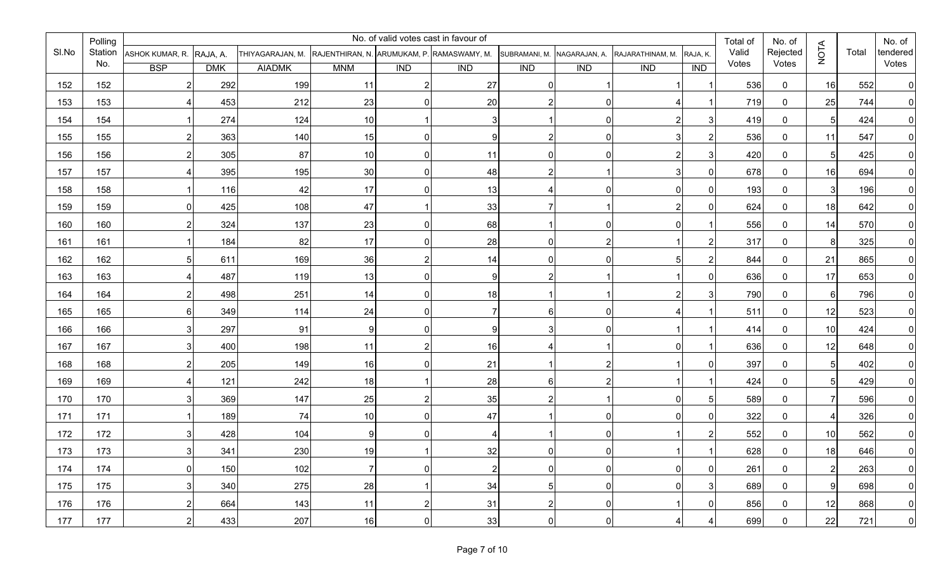|       | Polling |                 |            |                  |            |                  | No. of valid votes cast in favour of       |                |                |                  |                      | Total of | No. of      |                |       | No. of         |
|-------|---------|-----------------|------------|------------------|------------|------------------|--------------------------------------------|----------------|----------------|------------------|----------------------|----------|-------------|----------------|-------|----------------|
| SI.No | Station | ASHOK KUMAR, R. | RAJA, A.   | THIYAGARAJAN, M. |            |                  | RAJENTHIRAN, N. ARUMUKAM, P. RAMASWAMY, M. | SUBRAMANI, M.  | NAGARAJAN, A.  | RAJARATHINAM, M. | RAJA, K.             | Valid    | Rejected    | <b>NOTA</b>    | Total | tendered       |
|       | No.     | <b>BSP</b>      | <b>DMK</b> | <b>AIADMK</b>    | <b>MNM</b> | $\overline{IND}$ | $\overline{IND}$                           | <b>IND</b>     | <b>IND</b>     | <b>IND</b>       | <b>IND</b>           | Votes    | Votes       |                |       | Votes          |
| 152   | 152     | 2               | 292        | 199              | 11         | 21               | 27                                         |                |                |                  |                      | 536      | $\mathbf 0$ | 16             | 552   | $\overline{0}$ |
| 153   | 153     | 4               | 453        | 212              | 23         | $\Omega$         | 20                                         |                |                |                  |                      | 719      | $\mathbf 0$ | 25             | 744   | $\overline{0}$ |
| 154   | 154     |                 | 274        | 124              | 10         |                  | 3                                          |                |                |                  | 3                    | 419      | $\mathbf 0$ | 5 <sub>l</sub> | 424   | $\overline{0}$ |
| 155   | 155     | 2               | 363        | 140              | 15         | $\Omega$         | 9                                          |                |                |                  | 2                    | 536      | $\mathbf 0$ | 11             | 547   | $\overline{0}$ |
| 156   | 156     | 2               | 305        | 87               | 10         | $\Omega$         | 11                                         | U              |                |                  | 3                    | 420      | $\mathbf 0$ | 5 <sub>l</sub> | 425   | $\overline{0}$ |
| 157   | 157     |                 | 395        | 195              | 30         | $\Omega$         | 48                                         |                |                |                  | $\bf{0}$             | 678      | $\mathbf 0$ | 16             | 694   | $\overline{0}$ |
| 158   | 158     |                 | 116        | 42               | 17         | ∩                | 13                                         |                |                | 0 I              | 0                    | 193      | $\mathbf 0$ | $\mathbf{3}$   | 196   | $\overline{0}$ |
| 159   | 159     | 01              | 425        | 108              | 47         |                  | 33                                         |                |                | 2                | $\bf{0}$             | 624      | $\mathbf 0$ | 18             | 642   | $\overline{0}$ |
| 160   | 160     | 2               | 324        | 137              | 23         | $\Omega$         | 68                                         |                | $\overline{0}$ | $\overline{0}$   |                      | 556      | 0           | 14             | 570   | $\overline{0}$ |
| 161   | 161     |                 | 184        | 82               | 17         | $\Omega$         | 28                                         | ŋ              |                |                  | 2                    | 317      | 0           | 8              | 325   | $\overline{0}$ |
| 162   | 162     | 5 <sub>l</sub>  | 611        | 169              | 36         | 2                | 14                                         | $\Omega$       | $\Omega$       | 51               | 2                    | 844      | $\mathbf 0$ | 21             | 865   | $\overline{0}$ |
| 163   | 163     | 4               | 487        | 119              | 13         | $\Omega$         | 9                                          |                |                |                  | $\Omega$             | 636      | $\mathbf 0$ | 17             | 653   | $\overline{0}$ |
| 164   | 164     | $\overline{2}$  | 498        | 251              | 14         | $\Omega$         | 18                                         |                |                |                  | 3                    | 790      | $\mathbf 0$ | $6 \mid$       | 796   | $\overline{0}$ |
| 165   | 165     | 6               | 349        | 114              | 24         | $\Omega$         | 7                                          |                |                |                  |                      | 511      | $\mathbf 0$ | 12             | 523   | $\Omega$       |
| 166   | 166     | 3               | 297        | 91               | 9          | $\Omega$         | 9                                          |                |                |                  |                      | 414      | $\mathbf 0$ | 10             | 424   | $\Omega$       |
| 167   | 167     | 31              | 400        | 198              | 11         |                  | 16                                         |                |                | 01               |                      | 636      | $\mathbf 0$ | 12             | 648   | $\overline{0}$ |
| 168   | 168     | 2               | 205        | 149              | 16         | $\Omega$         | 21                                         |                |                |                  | $\Omega$             | 397      | $\mathbf 0$ | 5 <sub>l</sub> | 402   | $\mathbf{0}$   |
| 169   | 169     |                 | 121        | 242              | 18         |                  | 28                                         | 6              |                |                  |                      | 424      | $\mathbf 0$ | 5 <sub>l</sub> | 429   | $\overline{0}$ |
| 170   | 170     |                 | 369        | 147              | 25         |                  | 35                                         |                |                | 0I               | 5                    | 589      | $\mathbf 0$ |                | 596   | $\mathbf{0}$   |
| 171   | 171     |                 | 189        | 74               | 10         |                  | 47                                         |                |                | $\Omega$         | $\Omega$             | 322      | $\mathbf 0$ | 4              | 326   | $\overline{0}$ |
| 172   | 172     |                 | 428        | 104              | $9 \mid$   |                  | 4                                          |                |                |                  |                      | 552      | 0           | 10             | 562   | 0              |
| 173   | 173     | વ               | 341        | 230              | 19         |                  | 32                                         |                |                |                  | $\blacktriangleleft$ | 628      | $\Omega$    | 18             | 646   | $\Omega$       |
| 174   | 174     | $\overline{0}$  | 150        | 102              | 7          | $\overline{0}$   | $\overline{c}$                             | $\overline{0}$ | $\overline{0}$ | 0                | $\overline{0}$       | 261      | 0           | $2\vert$       | 263   | $\overline{0}$ |
| 175   | 175     | 3               | 340        | 275              | 28         |                  | 34                                         | 5 <sub>l</sub> | $\overline{0}$ | $\overline{0}$   | 3                    | 689      | 0           | 9              | 698   | 0              |
| 176   | 176     | 2               | 664        | 143              | 11         | $\overline{2}$   | 31                                         | $\overline{2}$ | $\overline{0}$ | -1               | $\overline{0}$       | 856      | 0           | 12             | 868   | 0              |
| 177   | 177     | $\overline{2}$  | 433        | 207              | 16         | $\overline{0}$   | 33                                         | $\overline{0}$ | $\overline{0}$ | 4                | 4                    | 699      | $\mathbf 0$ | 22             | 721   | $\overline{0}$ |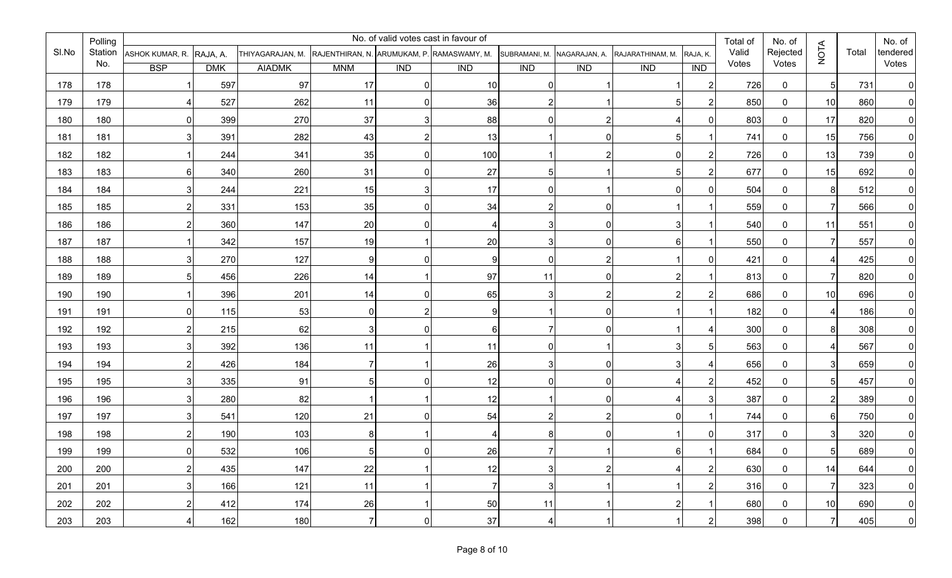|       | Polling |                 |            |                                                             |                  |                  | No. of valid votes cast in favour of |                |                |                  |                | Total of | No. of         |                 |       | No. of         |
|-------|---------|-----------------|------------|-------------------------------------------------------------|------------------|------------------|--------------------------------------|----------------|----------------|------------------|----------------|----------|----------------|-----------------|-------|----------------|
| SI.No | Station | ASHOK KUMAR, R. | RAJA, A.   | THIYAGARAJAN, M. RAJENTHIRAN, N. ARUMUKAM, P. RAMASWAMY, M. |                  |                  |                                      | SUBRAMANI, M.  | NAGARAJAN, A.  | RAJARATHINAM, M. | RAJA, K.       | Valid    | Rejected       | <b>NOTA</b>     | Total | tendered       |
|       | No.     | <b>BSP</b>      | <b>DMK</b> | <b>AIADMK</b>                                               | <b>MNM</b>       | $\overline{IND}$ | <b>IND</b>                           | <b>IND</b>     | <b>IND</b>     | <b>IND</b>       | IND            | Votes    | Votes          |                 |       | Votes          |
| 178   | 178     |                 | 597        | 97                                                          | 17               |                  | 10                                   | 0              |                |                  | $\overline{2}$ | 726      | $\mathbf 0$    | 5 <sup>1</sup>  | 731   | $\Omega$       |
| 179   | 179     |                 | 527        | 262                                                         | 11               |                  | 36                                   | 2              |                |                  | $\overline{2}$ | 850      | $\overline{0}$ | 10 <sup>1</sup> | 860   | $\Omega$       |
| 180   | 180     | 0               | 399        | 270                                                         | 37               |                  | 88                                   | 0              |                |                  | $\Omega$       | 803      | $\mathbf 0$    | 17              | 820   | $\Omega$       |
| 181   | 181     | 3               | 391        | 282                                                         | 43               |                  | 13                                   |                |                |                  |                | 741      | $\mathbf 0$    | 15              | 756   | $\Omega$       |
| 182   | 182     |                 | 244        | 341                                                         | 35               |                  | 100                                  |                |                |                  | 2              | 726      | $\mathbf 0$    | 13              | 739   | $\Omega$       |
| 183   | 183     | 6               | 340        | 260                                                         | 31               |                  | 27                                   | 5              |                |                  | 2              | 677      | $\mathbf 0$    | 15              | 692   | 0              |
| 184   | 184     | 3 <sub>l</sub>  | 244        | 221                                                         | 15               |                  | 17                                   | 0              |                |                  | $\mathbf{0}$   | 504      | $\mathbf 0$    | 8 <sup>1</sup>  | 512   |                |
| 185   | 185     | $\overline{2}$  | 331        | 153                                                         | 35               |                  | 34                                   | $\overline{2}$ |                |                  |                | 559      | $\mathbf 0$    | 7               | 566   | 0              |
| 186   | 186     | $\mathbf{2}$    | 360        | 147                                                         | 20               |                  | $\overline{4}$                       | 3              |                |                  |                | 540      | $\overline{0}$ | 11              | 551   | 0              |
| 187   | 187     |                 | 342        | 157                                                         | 19               |                  | 20                                   | 3              |                |                  |                | 550      | $\mathbf 0$    |                 | 557   | 0              |
| 188   | 188     | $\overline{3}$  | 270        | 127                                                         | $\boldsymbol{9}$ |                  | 9                                    | $\overline{0}$ | 2              |                  | $\mathbf{0}$   | 421      | $\mathbf 0$    | 4               | 425   | $\overline{0}$ |
| 189   | 189     | 5               | 456        | 226                                                         | 14               |                  | 97                                   | 11             |                |                  |                | 813      | $\mathbf 0$    | 7               | 820   | $\overline{0}$ |
| 190   | 190     |                 | 396        | 201                                                         | 14               |                  | 65                                   | 3              |                |                  | 2              | 686      | $\mathbf 0$    | 10              | 696   | $\overline{0}$ |
| 191   | 191     | $\Omega$        | 115        | 53                                                          | 0                |                  | 9                                    |                |                |                  |                | 182      | $\mathbf 0$    | 4               | 186   | $\Omega$       |
| 192   | 192     | 2 <sub>l</sub>  | 215        | 62                                                          | 3                |                  | 6                                    | 7              |                |                  |                | 300      | $\mathbf 0$    | 8               | 308   | $\Omega$       |
| 193   | 193     | 3               | 392        | 136                                                         | 11               |                  | 11                                   | 0              |                |                  | 5              | 563      | $\mathbf 0$    |                 | 567   | $\mathbf{0}$   |
| 194   | 194     | $\overline{2}$  | 426        | 184                                                         | $\overline{7}$   |                  | 26                                   | 3              |                |                  |                | 656      | $\mathbf 0$    | 3 <sup>1</sup>  | 659   |                |
| 195   | 195     | 3               | 335        | 91                                                          | 5                |                  | 12                                   | 0              |                |                  | 2              | 452      | $\mathbf 0$    | 5 <sub>l</sub>  | 457   | <sup>0</sup>   |
| 196   | 196     | 3 <sup>l</sup>  | 280        | 82                                                          | 1                |                  | 12                                   |                |                |                  | 3              | 387      | $\mathbf 0$    | 2               | 389   |                |
| 197   | 197     | 3               | 541        | 120                                                         | 21               |                  | 54                                   | $\mathsf{2}$   |                |                  |                | 744      | $\mathbf 0$    | 61              | 750   | $\Omega$       |
| 198   | 198     |                 | 190        | 103                                                         | 8                |                  |                                      | 8              |                |                  | 0              | 317      | $\mathbf 0$    | 3               | 320   |                |
| 199   | 199     | <sup>n</sup>    | 532        | 106                                                         | 5                |                  | 26                                   | 7              |                |                  |                | 684      | $\mathbf{0}$   | 51              | 689   |                |
| 200   | 200     | $2\vert$        | 435        | 147                                                         | 22               |                  | 12                                   | 3 <sup>1</sup> | $\overline{c}$ | 4                | $\overline{2}$ | 630      | 0              | 14              | 644   | $\overline{0}$ |
| 201   | 201     | $\overline{3}$  | 166        | 121                                                         | 11               |                  | $\overline{7}$                       | 3 <sup>1</sup> | 1              |                  | $\overline{2}$ | 316      | 0              | $\overline{7}$  | 323   | 0              |
| 202   | 202     | $2\vert$        | 412        | 174                                                         | 26               |                  | 50                                   | 11             |                | $\overline{2}$   | -1             | 680      | 0              | 10 <sup>1</sup> | 690   | 0              |
| 203   | 203     | 4               | 162        | 180                                                         | $\overline{7}$   |                  | 37                                   | 4              |                |                  | $\overline{2}$ | 398      | 0              | $\overline{7}$  | 405   | $\overline{0}$ |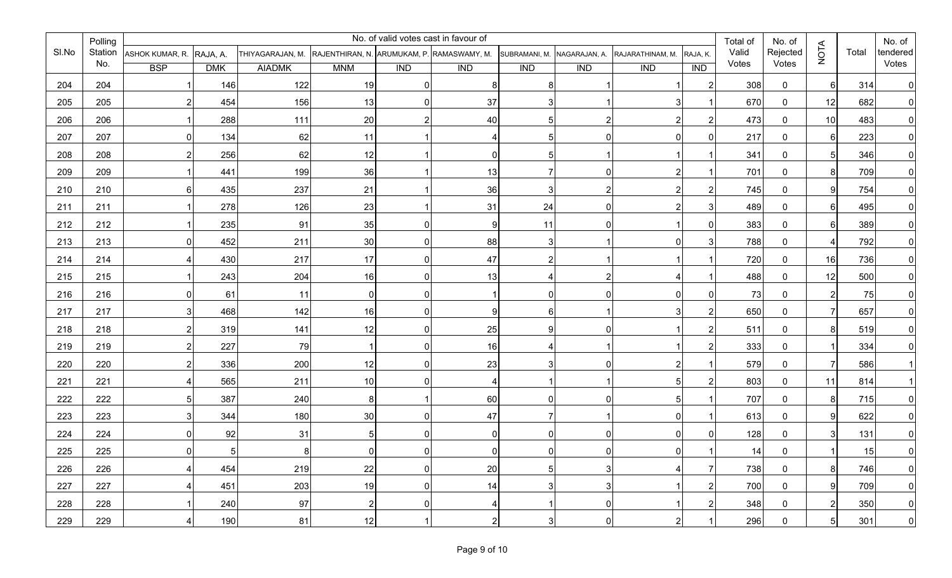|       | Polling |                                  |            |                                                             |                |                  | No. of valid votes cast in favour of |                  |                  |                  |                | Total of | No. of       |                |       | No. of         |
|-------|---------|----------------------------------|------------|-------------------------------------------------------------|----------------|------------------|--------------------------------------|------------------|------------------|------------------|----------------|----------|--------------|----------------|-------|----------------|
| SI.No |         | Station ASHOK KUMAR, R. RAJA, A. |            | THIYAGARAJAN, M. RAJENTHIRAN, N. ARUMUKAM, P. RAMASWAMY, M. |                |                  |                                      | SUBRAMANI, M.    | NAGARAJAN, A.    | RAJARATHINAM, M. | RAJA, K.       | Valid    | Rejected     | <b>NOTA</b>    | Total | tendered       |
|       | No.     | <b>BSP</b>                       | <b>DMK</b> | <b>AIADMK</b>                                               | <b>MNM</b>     | $\overline{IND}$ | $\overline{IND}$                     | $\overline{IND}$ | $\overline{IND}$ | $\overline{IND}$ | <b>IND</b>     | Votes    | Votes        |                |       | Votes          |
| 204   | 204     |                                  | 146        | 122                                                         | 19             | $\Omega$         | 8                                    |                  |                  |                  | 2              | 308      | $\mathbf{0}$ | 6              | 314   | $\overline{0}$ |
| 205   | 205     | 2                                | 454        | 156                                                         | 13             | $\Omega$         | 37                                   |                  |                  |                  |                | 670      | $\mathbf 0$  | 12             | 682   | 0              |
| 206   | 206     |                                  | 288        | 111                                                         | 20             |                  | 40                                   |                  |                  |                  |                | 473      | $\mathbf 0$  | 10             | 483   | $\overline{0}$ |
| 207   | 207     | 0I                               | 134        | 62                                                          | 11             |                  | 4                                    |                  | $\Omega$         | 0I               | 0              | 217      | $\mathbf 0$  | $6 \mid$       | 223   | $\overline{0}$ |
| 208   | 208     | 2                                | 256        | 62                                                          | 12             |                  | $\mathbf 0$                          |                  |                  |                  |                | 341      | $\mathbf 0$  | 5 <sub>l</sub> | 346   | $\overline{0}$ |
| 209   | 209     |                                  | 441        | 199                                                         | 36             |                  | 13                                   |                  | $\Omega$         |                  |                | 701      | $\mathbf 0$  | 8              | 709   | $\mathbf{0}$   |
| 210   | 210     | 61                               | 435        | 237                                                         | 21             |                  | 36                                   |                  | $\overline{2}$   |                  | 2              | 745      | $\mathbf 0$  | 9              | 754   | $\overline{0}$ |
| 211   | 211     |                                  | 278        | 126                                                         | 23             |                  | 31                                   | 24               |                  |                  | 3              | 489      | $\mathbf 0$  | 61             | 495   | $\mathbf 0$    |
| 212   | 212     |                                  | 235        | 91                                                          | 35             | $\Omega$         | $\boldsymbol{9}$                     | 11               | $\overline{0}$   |                  | $\bf{0}$       | 383      | $\mathbf 0$  | 61             | 389   | $\overline{0}$ |
| 213   | 213     | 0I                               | 452        | 211                                                         | 30             | $\overline{0}$   | 88                                   | 3                |                  | $\overline{0}$   | 3              | 788      | $\mathbf 0$  | 4              | 792   | $\overline{0}$ |
| 214   | 214     | $\overline{4}$                   | 430        | 217                                                         | 17             | $\overline{0}$   | 47                                   |                  |                  |                  |                | 720      | $\mathbf 0$  | 16             | 736   | $\overline{0}$ |
| 215   | 215     |                                  | 243        | 204                                                         | 16             | $\overline{0}$   | 13                                   |                  | $\overline{2}$   | 4                |                | 488      | $\mathbf 0$  | 12             | 500   | $\overline{0}$ |
| 216   | 216     | 0I                               | 61         | 11                                                          | $\overline{0}$ | $\Omega$         | -1                                   | $\Omega$         | $\Omega$         | $\overline{0}$   | $\mathbf{0}$   | 73       | $\mathbf 0$  | $\overline{2}$ | 75    | $\overline{0}$ |
| 217   | 217     | 31                               | 468        | 142                                                         | 16             | $\Omega$         | 9                                    | 6                |                  |                  | 2              | 650      | $\mathbf 0$  | $\overline{ }$ | 657   | $\overline{0}$ |
| 218   | 218     | $\overline{2}$                   | 319        | 141                                                         | 12             | $\overline{0}$   | 25                                   | g                |                  |                  | 2              | 511      | $\mathbf 0$  | 8              | 519   | $\Omega$       |
| 219   | 219     | 2                                | 227        | 79                                                          |                | $\Omega$         | 16                                   |                  |                  |                  |                | 333      | $\mathbf 0$  |                | 334   | $\Omega$       |
| 220   | 220     | $\overline{c}$                   | 336        | 200                                                         | 12             | $\Omega$         | 23                                   |                  |                  |                  |                | 579      | $\mathbf 0$  | 7              | 586   |                |
| 221   | 221     | 4                                | 565        | 211                                                         | 10             | $\Omega$         | 4                                    |                  |                  | 5                | 2              | 803      | $\mathbf 0$  | 11             | 814   |                |
| 222   | 222     | 5 <sub>l</sub>                   | 387        | 240                                                         | 8 <sup>1</sup> |                  | 60                                   | ∩                |                  | 5                |                | 707      | $\mathbf 0$  | 8              | 715   | $\mathbf{0}$   |
| 223   | 223     | 3                                | 344        | 180                                                         | 30             | $\overline{0}$   | 47                                   |                  |                  | $\overline{0}$   |                | 613      | $\mathbf 0$  | 9              | 622   | $\overline{0}$ |
| 224   | 224     | 0I                               | 92         | 31                                                          | 5 <sub>5</sub> | ∩                | $\Omega$                             | 0                |                  | $\overline{0}$   | $\Omega$       | 128      | $\mathbf 0$  | 3              | 131   | $\overline{0}$ |
| 225   | 225     |                                  | 51         | 8                                                           | $\Omega$       |                  |                                      |                  |                  | ΩI               |                | 14       | $\Omega$     |                | 15    | 0              |
| 226   | 226     | 41                               | 454        | 219                                                         | 22             | 0I               | 20                                   | 51               | 3 <sup>1</sup>   | 4                | $\overline{7}$ | 738      | 0            | 8 <sup>1</sup> | 746   | $\overline{0}$ |
| 227   | 227     | 4                                | 451        | 203                                                         | 19             | $\overline{0}$   | 14                                   | 3 <sup>1</sup>   | 3 <sup>1</sup>   |                  | $\overline{2}$ | 700      | $\mathbf 0$  | $\overline{9}$ | 709   | 0              |
| 228   | 228     |                                  | 240        | 97                                                          | $2 \vert$      | $\overline{0}$   | 4                                    |                  | $\overline{0}$   | -1               | $\overline{c}$ | 348      | 0            | $\overline{2}$ | 350   | 0              |
| 229   | 229     | 4                                | 190        | 81                                                          | 12             |                  | $\overline{c}$                       | 3                | $\overline{0}$   | $\mathbf{2}$     | $\overline{1}$ | 296      | $\mathbf 0$  | 5 <sub>l</sub> | 301   | $\overline{0}$ |